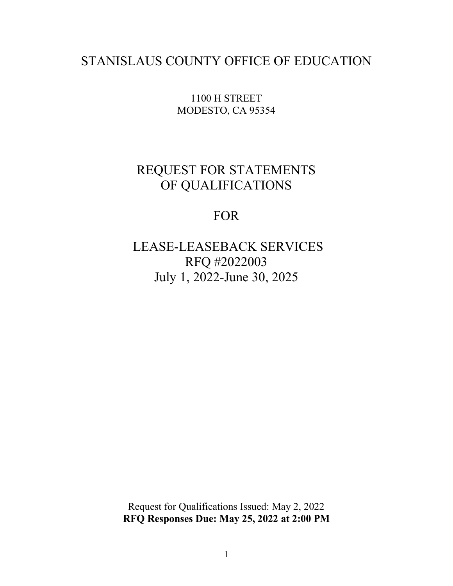## STANISLAUS COUNTY OFFICE OF EDUCATION

1100 H STREET MODESTO, CA 95354

# REQUEST FOR STATEMENTS OF QUALIFICATIONS

## FOR

LEASE-LEASEBACK SERVICES RFQ #2022003 July 1, 2022-June 30, 2025

Request for Qualifications Issued: May 2, 2022 **RFQ Responses Due: May 25, 2022 at 2:00 PM**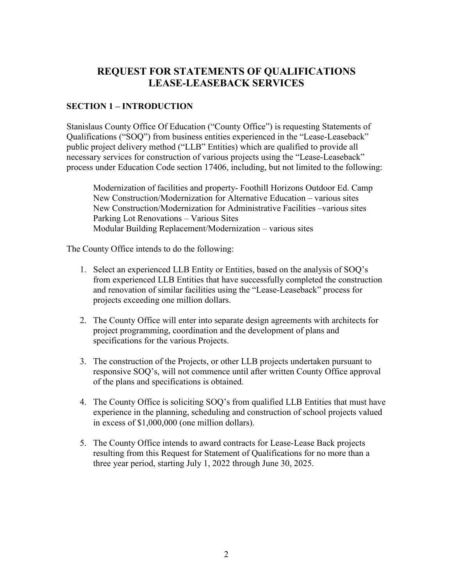### **REQUEST FOR STATEMENTS OF QUALIFICATIONS LEASE-LEASEBACK SERVICES**

#### **SECTION 1 – INTRODUCTION**

Stanislaus County Office Of Education ("County Office") is requesting Statements of Qualifications ("SOQ") from business entities experienced in the "Lease-Leaseback" public project delivery method ("LLB" Entities) which are qualified to provide all necessary services for construction of various projects using the "Lease-Leaseback" process under Education Code section 17406, including, but not limited to the following:

Modernization of facilities and property- Foothill Horizons Outdoor Ed. Camp New Construction/Modernization for Alternative Education – various sites New Construction/Modernization for Administrative Facilities –various sites Parking Lot Renovations – Various Sites Modular Building Replacement/Modernization – various sites

The County Office intends to do the following:

- 1. Select an experienced LLB Entity or Entities, based on the analysis of SOQ's from experienced LLB Entities that have successfully completed the construction and renovation of similar facilities using the "Lease-Leaseback" process for projects exceeding one million dollars.
- 2. The County Office will enter into separate design agreements with architects for project programming, coordination and the development of plans and specifications for the various Projects.
- 3. The construction of the Projects, or other LLB projects undertaken pursuant to responsive SOQ's, will not commence until after written County Office approval of the plans and specifications is obtained.
- 4. The County Office is soliciting SOQ's from qualified LLB Entities that must have experience in the planning, scheduling and construction of school projects valued in excess of \$1,000,000 (one million dollars).
- 5. The County Office intends to award contracts for Lease-Lease Back projects resulting from this Request for Statement of Qualifications for no more than a three year period, starting July 1, 2022 through June 30, 2025.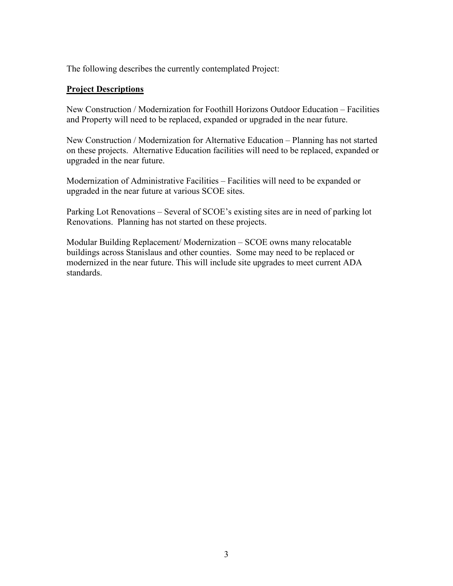The following describes the currently contemplated Project:

#### **Project Descriptions**

New Construction / Modernization for Foothill Horizons Outdoor Education – Facilities and Property will need to be replaced, expanded or upgraded in the near future.

New Construction / Modernization for Alternative Education – Planning has not started on these projects. Alternative Education facilities will need to be replaced, expanded or upgraded in the near future.

Modernization of Administrative Facilities – Facilities will need to be expanded or upgraded in the near future at various SCOE sites.

Parking Lot Renovations – Several of SCOE's existing sites are in need of parking lot Renovations. Planning has not started on these projects.

Modular Building Replacement/ Modernization – SCOE owns many relocatable buildings across Stanislaus and other counties. Some may need to be replaced or modernized in the near future. This will include site upgrades to meet current ADA standards.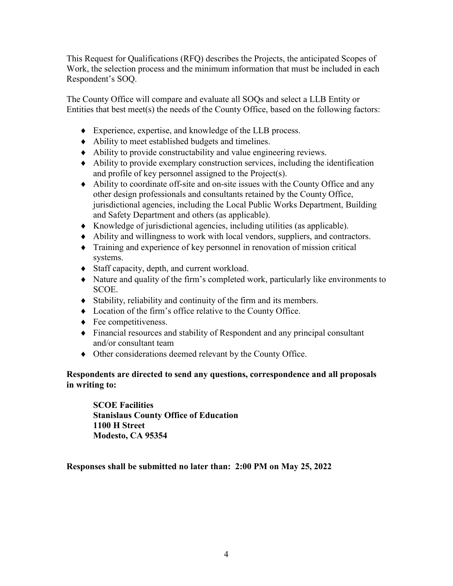This Request for Qualifications (RFQ) describes the Projects, the anticipated Scopes of Work, the selection process and the minimum information that must be included in each Respondent's SOQ.

The County Office will compare and evaluate all SOQs and select a LLB Entity or Entities that best meet(s) the needs of the County Office, based on the following factors:

- ♦ Experience, expertise, and knowledge of the LLB process.
- ♦ Ability to meet established budgets and timelines.
- ♦ Ability to provide constructability and value engineering reviews.
- ♦ Ability to provide exemplary construction services, including the identification and profile of key personnel assigned to the Project(s).
- ♦ Ability to coordinate off-site and on-site issues with the County Office and any other design professionals and consultants retained by the County Office, jurisdictional agencies, including the Local Public Works Department, Building and Safety Department and others (as applicable).
- ♦ Knowledge of jurisdictional agencies, including utilities (as applicable).
- ♦ Ability and willingness to work with local vendors, suppliers, and contractors.
- ♦ Training and experience of key personnel in renovation of mission critical systems.
- ♦ Staff capacity, depth, and current workload.
- ♦ Nature and quality of the firm's completed work, particularly like environments to SCOE.
- ♦ Stability, reliability and continuity of the firm and its members.
- ♦ Location of the firm's office relative to the County Office.
- $\leftarrow$  Fee competitiveness.
- ♦ Financial resources and stability of Respondent and any principal consultant and/or consultant team
- ♦ Other considerations deemed relevant by the County Office.

#### **Respondents are directed to send any questions, correspondence and all proposals in writing to:**

**SCOE Facilities Stanislaus County Office of Education 1100 H Street Modesto, CA 95354**

**Responses shall be submitted no later than: 2:00 PM on May 25, 2022**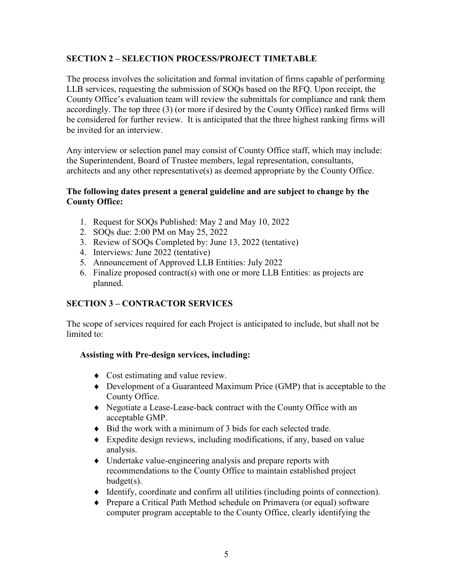#### **SECTION 2 – SELECTION PROCESS/PROJECT TIMETABLE**

The process involves the solicitation and formal invitation of firms capable of performing LLB services, requesting the submission of SOQs based on the RFQ. Upon receipt, the County Office's evaluation team will review the submittals for compliance and rank them accordingly. The top three (3) (or more if desired by the County Office) ranked firms will be considered for further review. It is anticipated that the three highest ranking firms will be invited for an interview.

Any interview or selection panel may consist of County Office staff, which may include: the Superintendent, Board of Trustee members, legal representation, consultants, architects and any other representative(s) as deemed appropriate by the County Office.

#### **The following dates present a general guideline and are subject to change by the County Office:**

- 1. Request for SOQs Published: May 2 and May 10, 2022
- 2. SOQs due: 2:00 PM on May 25, 2022
- 3. Review of SOQs Completed by: June 13, 2022 (tentative)
- 4. Interviews: June 2022 (tentative)
- 5. Announcement of Approved LLB Entities: July 2022
- 6. Finalize proposed contract(s) with one or more LLB Entities: as projects are planned.

### **SECTION 3 – CONTRACTOR SERVICES**

The scope of services required for each Project is anticipated to include, but shall not be limited to:

#### **Assisting with Pre-design services, including:**

- ♦ Cost estimating and value review.
- ♦ Development of a Guaranteed Maximum Price (GMP) that is acceptable to the County Office.
- ♦ Negotiate a Lease-Lease-back contract with the County Office with an acceptable GMP.
- ♦ Bid the work with a minimum of 3 bids for each selected trade.
- ♦ Expedite design reviews, including modifications, if any, based on value analysis.
- ♦ Undertake value-engineering analysis and prepare reports with recommendations to the County Office to maintain established project  $budget(s)$ .
- ♦ Identify, coordinate and confirm all utilities (including points of connection).
- ♦ Prepare a Critical Path Method schedule on Primavera (or equal) software computer program acceptable to the County Office, clearly identifying the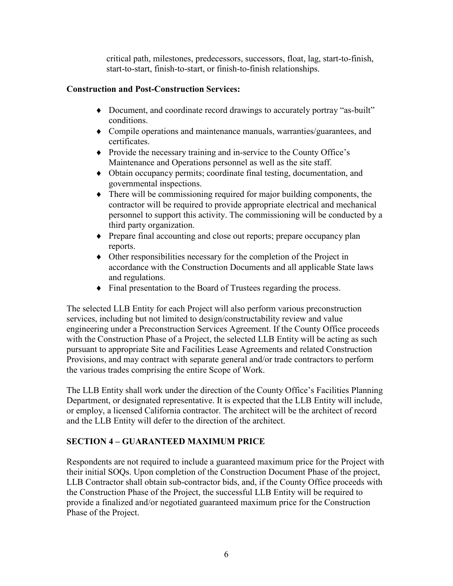critical path, milestones, predecessors, successors, float, lag, start-to-finish, start-to-start, finish-to-start, or finish-to-finish relationships.

#### **Construction and Post-Construction Services:**

- ♦ Document, and coordinate record drawings to accurately portray "as-built" conditions.
- ♦ Compile operations and maintenance manuals, warranties/guarantees, and certificates.
- ♦ Provide the necessary training and in-service to the County Office's Maintenance and Operations personnel as well as the site staff.
- ♦ Obtain occupancy permits; coordinate final testing, documentation, and governmental inspections.
- ♦ There will be commissioning required for major building components, the contractor will be required to provide appropriate electrical and mechanical personnel to support this activity. The commissioning will be conducted by a third party organization.
- ♦ Prepare final accounting and close out reports; prepare occupancy plan reports.
- ♦ Other responsibilities necessary for the completion of the Project in accordance with the Construction Documents and all applicable State laws and regulations.
- ♦ Final presentation to the Board of Trustees regarding the process.

The selected LLB Entity for each Project will also perform various preconstruction services, including but not limited to design/constructability review and value engineering under a Preconstruction Services Agreement. If the County Office proceeds with the Construction Phase of a Project, the selected LLB Entity will be acting as such pursuant to appropriate Site and Facilities Lease Agreements and related Construction Provisions, and may contract with separate general and/or trade contractors to perform the various trades comprising the entire Scope of Work.

The LLB Entity shall work under the direction of the County Office's Facilities Planning Department, or designated representative. It is expected that the LLB Entity will include, or employ, a licensed California contractor. The architect will be the architect of record and the LLB Entity will defer to the direction of the architect.

#### **SECTION 4 – GUARANTEED MAXIMUM PRICE**

Respondents are not required to include a guaranteed maximum price for the Project with their initial SOQs. Upon completion of the Construction Document Phase of the project, LLB Contractor shall obtain sub-contractor bids, and, if the County Office proceeds with the Construction Phase of the Project, the successful LLB Entity will be required to provide a finalized and/or negotiated guaranteed maximum price for the Construction Phase of the Project.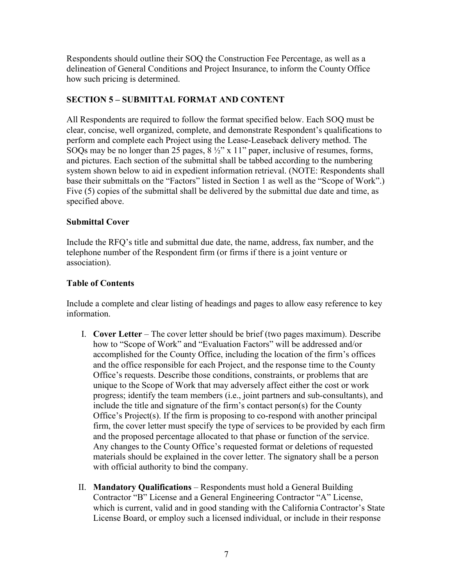Respondents should outline their SOQ the Construction Fee Percentage, as well as a delineation of General Conditions and Project Insurance, to inform the County Office how such pricing is determined.

#### **SECTION 5 – SUBMITTAL FORMAT AND CONTENT**

All Respondents are required to follow the format specified below. Each SOQ must be clear, concise, well organized, complete, and demonstrate Respondent's qualifications to perform and complete each Project using the Lease-Leaseback delivery method. The SOQs may be no longer than 25 pages, 8 ½" x 11" paper, inclusive of resumes, forms, and pictures. Each section of the submittal shall be tabbed according to the numbering system shown below to aid in expedient information retrieval. (NOTE: Respondents shall base their submittals on the "Factors" listed in Section 1 as well as the "Scope of Work".) Five (5) copies of the submittal shall be delivered by the submittal due date and time, as specified above.

#### **Submittal Cover**

Include the RFQ's title and submittal due date, the name, address, fax number, and the telephone number of the Respondent firm (or firms if there is a joint venture or association).

#### **Table of Contents**

Include a complete and clear listing of headings and pages to allow easy reference to key information.

- I. **Cover Letter** The cover letter should be brief (two pages maximum). Describe how to "Scope of Work" and "Evaluation Factors" will be addressed and/or accomplished for the County Office, including the location of the firm's offices and the office responsible for each Project, and the response time to the County Office's requests. Describe those conditions, constraints, or problems that are unique to the Scope of Work that may adversely affect either the cost or work progress; identify the team members (i.e., joint partners and sub-consultants), and include the title and signature of the firm's contact person(s) for the County Office's Project(s). If the firm is proposing to co-respond with another principal firm, the cover letter must specify the type of services to be provided by each firm and the proposed percentage allocated to that phase or function of the service. Any changes to the County Office's requested format or deletions of requested materials should be explained in the cover letter. The signatory shall be a person with official authority to bind the company.
- II. **Mandatory Qualifications** Respondents must hold a General Building Contractor "B" License and a General Engineering Contractor "A" License, which is current, valid and in good standing with the California Contractor's State License Board, or employ such a licensed individual, or include in their response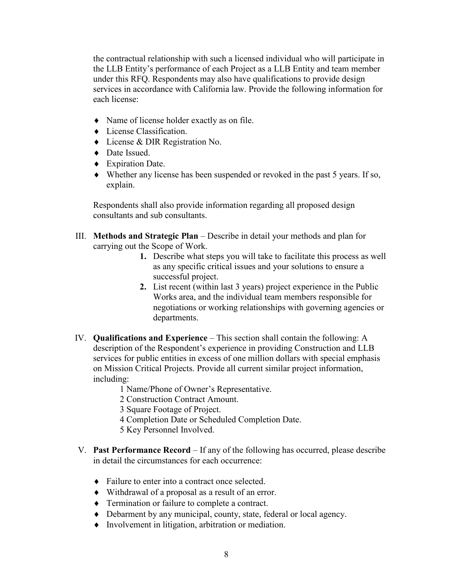the contractual relationship with such a licensed individual who will participate in the LLB Entity's performance of each Project as a LLB Entity and team member under this RFQ. Respondents may also have qualifications to provide design services in accordance with California law. Provide the following information for each license:

- ♦ Name of license holder exactly as on file.
- ♦ License Classification.
- ♦ License & DIR Registration No.
- ♦ Date Issued.
- ♦ Expiration Date.
- ♦ Whether any license has been suspended or revoked in the past 5 years. If so, explain.

Respondents shall also provide information regarding all proposed design consultants and sub consultants.

- III. **Methods and Strategic Plan** Describe in detail your methods and plan for carrying out the Scope of Work.
	- **1.** Describe what steps you will take to facilitate this process as well as any specific critical issues and your solutions to ensure a successful project.
	- **2.** List recent (within last 3 years) project experience in the Public Works area, and the individual team members responsible for negotiations or working relationships with governing agencies or departments.
- IV. **Qualifications and Experience** This section shall contain the following: A description of the Respondent's experience in providing Construction and LLB services for public entities in excess of one million dollars with special emphasis on Mission Critical Projects. Provide all current similar project information, including:
	- 1 Name/Phone of Owner's Representative.
	- 2 Construction Contract Amount.
	- 3 Square Footage of Project.
	- 4 Completion Date or Scheduled Completion Date.
	- 5 Key Personnel Involved.
- V. **Past Performance Record** If any of the following has occurred, please describe in detail the circumstances for each occurrence:
	- ♦ Failure to enter into a contract once selected.
	- ♦ Withdrawal of a proposal as a result of an error.
	- ♦ Termination or failure to complete a contract.
	- ♦ Debarment by any municipal, county, state, federal or local agency.
	- ♦ Involvement in litigation, arbitration or mediation.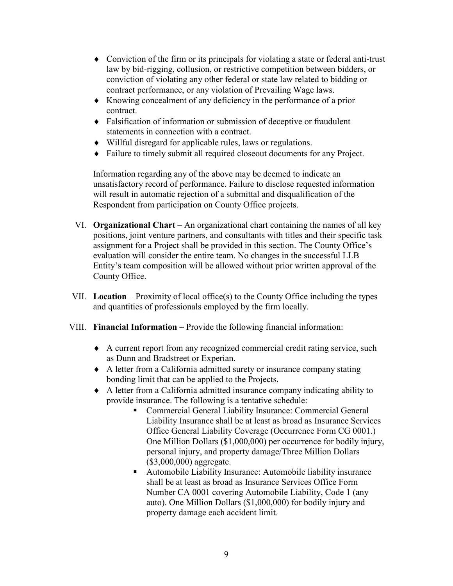- ♦ Conviction of the firm or its principals for violating a state or federal anti-trust law by bid-rigging, collusion, or restrictive competition between bidders, or conviction of violating any other federal or state law related to bidding or contract performance, or any violation of Prevailing Wage laws.
- ♦ Knowing concealment of any deficiency in the performance of a prior contract.
- ♦ Falsification of information or submission of deceptive or fraudulent statements in connection with a contract.
- ♦ Willful disregard for applicable rules, laws or regulations.
- ♦ Failure to timely submit all required closeout documents for any Project.

Information regarding any of the above may be deemed to indicate an unsatisfactory record of performance. Failure to disclose requested information will result in automatic rejection of a submittal and disqualification of the Respondent from participation on County Office projects.

- VI. **Organizational Chart** An organizational chart containing the names of all key positions, joint venture partners, and consultants with titles and their specific task assignment for a Project shall be provided in this section. The County Office's evaluation will consider the entire team. No changes in the successful LLB Entity's team composition will be allowed without prior written approval of the County Office.
- VII. **Location** Proximity of local office(s) to the County Office including the types and quantities of professionals employed by the firm locally.
- VIII. **Financial Information** Provide the following financial information:
	- ♦ A current report from any recognized commercial credit rating service, such as Dunn and Bradstreet or Experian.
	- ♦ A letter from a California admitted surety or insurance company stating bonding limit that can be applied to the Projects.
	- ♦ A letter from a California admitted insurance company indicating ability to provide insurance. The following is a tentative schedule:
		- Commercial General Liability Insurance: Commercial General Liability Insurance shall be at least as broad as Insurance Services Office General Liability Coverage (Occurrence Form CG 0001.) One Million Dollars (\$1,000,000) per occurrence for bodily injury, personal injury, and property damage/Three Million Dollars (\$3,000,000) aggregate.
		- Automobile Liability Insurance: Automobile liability insurance shall be at least as broad as Insurance Services Office Form Number CA 0001 covering Automobile Liability, Code 1 (any auto). One Million Dollars (\$1,000,000) for bodily injury and property damage each accident limit.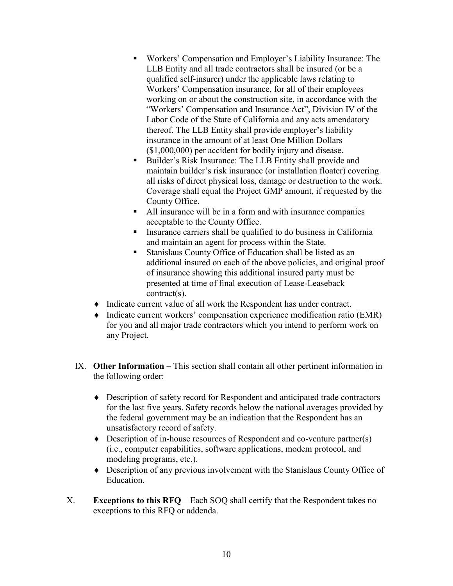- Workers' Compensation and Employer's Liability Insurance: The LLB Entity and all trade contractors shall be insured (or be a qualified self-insurer) under the applicable laws relating to Workers' Compensation insurance, for all of their employees working on or about the construction site, in accordance with the "Workers' Compensation and Insurance Act", Division IV of the Labor Code of the State of California and any acts amendatory thereof. The LLB Entity shall provide employer's liability insurance in the amount of at least One Million Dollars (\$1,000,000) per accident for bodily injury and disease.
- Builder's Risk Insurance: The LLB Entity shall provide and maintain builder's risk insurance (or installation floater) covering all risks of direct physical loss, damage or destruction to the work. Coverage shall equal the Project GMP amount, if requested by the County Office.
- All insurance will be in a form and with insurance companies acceptable to the County Office.
- Insurance carriers shall be qualified to do business in California and maintain an agent for process within the State.
- Stanislaus County Office of Education shall be listed as an additional insured on each of the above policies, and original proof of insurance showing this additional insured party must be presented at time of final execution of Lease-Leaseback contract(s).
- ♦ Indicate current value of all work the Respondent has under contract.
- ♦ Indicate current workers' compensation experience modification ratio (EMR) for you and all major trade contractors which you intend to perform work on any Project.
- IX. **Other Information** This section shall contain all other pertinent information in the following order:
	- ♦ Description of safety record for Respondent and anticipated trade contractors for the last five years. Safety records below the national averages provided by the federal government may be an indication that the Respondent has an unsatisfactory record of safety.
	- ♦ Description of in-house resources of Respondent and co-venture partner(s) (i.e., computer capabilities, software applications, modem protocol, and modeling programs, etc.).
	- ♦ Description of any previous involvement with the Stanislaus County Office of Education.
- X. **Exceptions to this RFQ** Each SOQ shall certify that the Respondent takes no exceptions to this RFQ or addenda.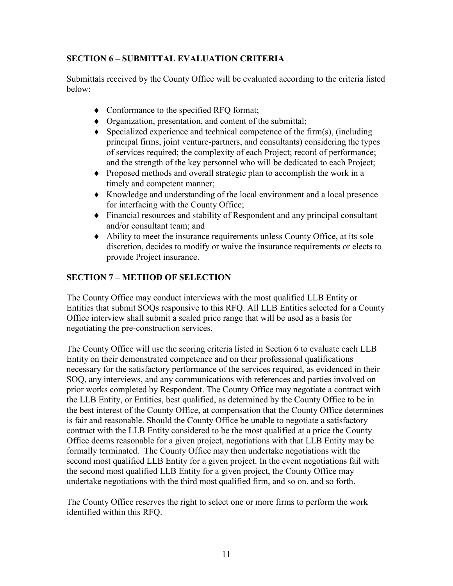#### **SECTION 6 – SUBMITTAL EVALUATION CRITERIA**

Submittals received by the County Office will be evaluated according to the criteria listed below:

- ♦ Conformance to the specified RFQ format;
- ♦ Organization, presentation, and content of the submittal;
- $\blacklozenge$  Specialized experience and technical competence of the firm(s), (including principal firms, joint venture-partners, and consultants) considering the types of services required; the complexity of each Project; record of performance; and the strength of the key personnel who will be dedicated to each Project;
- ♦ Proposed methods and overall strategic plan to accomplish the work in a timely and competent manner;
- ♦ Knowledge and understanding of the local environment and a local presence for interfacing with the County Office;
- ♦ Financial resources and stability of Respondent and any principal consultant and/or consultant team; and
- ♦ Ability to meet the insurance requirements unless County Office, at its sole discretion, decides to modify or waive the insurance requirements or elects to provide Project insurance.

#### **SECTION 7 – METHOD OF SELECTION**

The County Office may conduct interviews with the most qualified LLB Entity or Entities that submit SOQs responsive to this RFQ. All LLB Entities selected for a County Office interview shall submit a sealed price range that will be used as a basis for negotiating the pre-construction services.

The County Office will use the scoring criteria listed in Section 6 to evaluate each LLB Entity on their demonstrated competence and on their professional qualifications necessary for the satisfactory performance of the services required, as evidenced in their SOQ, any interviews, and any communications with references and parties involved on prior works completed by Respondent. The County Office may negotiate a contract with the LLB Entity, or Entities, best qualified, as determined by the County Office to be in the best interest of the County Office, at compensation that the County Office determines is fair and reasonable. Should the County Office be unable to negotiate a satisfactory contract with the LLB Entity considered to be the most qualified at a price the County Office deems reasonable for a given project, negotiations with that LLB Entity may be formally terminated. The County Office may then undertake negotiations with the second most qualified LLB Entity for a given project. In the event negotiations fail with the second most qualified LLB Entity for a given project, the County Office may undertake negotiations with the third most qualified firm, and so on, and so forth.

The County Office reserves the right to select one or more firms to perform the work identified within this RFQ.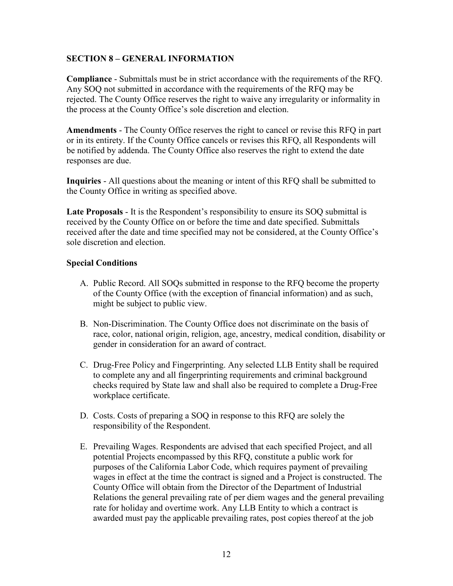#### **SECTION 8 – GENERAL INFORMATION**

**Compliance** - Submittals must be in strict accordance with the requirements of the RFQ. Any SOQ not submitted in accordance with the requirements of the RFQ may be rejected. The County Office reserves the right to waive any irregularity or informality in the process at the County Office's sole discretion and election.

**Amendments** - The County Office reserves the right to cancel or revise this RFQ in part or in its entirety. If the County Office cancels or revises this RFQ, all Respondents will be notified by addenda. The County Office also reserves the right to extend the date responses are due.

**Inquiries** - All questions about the meaning or intent of this RFQ shall be submitted to the County Office in writing as specified above.

**Late Proposals** - It is the Respondent's responsibility to ensure its SOQ submittal is received by the County Office on or before the time and date specified. Submittals received after the date and time specified may not be considered, at the County Office's sole discretion and election.

#### **Special Conditions**

- A. Public Record. All SOQs submitted in response to the RFQ become the property of the County Office (with the exception of financial information) and as such, might be subject to public view.
- B. Non-Discrimination. The County Office does not discriminate on the basis of race, color, national origin, religion, age, ancestry, medical condition, disability or gender in consideration for an award of contract.
- C. Drug-Free Policy and Fingerprinting. Any selected LLB Entity shall be required to complete any and all fingerprinting requirements and criminal background checks required by State law and shall also be required to complete a Drug-Free workplace certificate.
- D. Costs. Costs of preparing a SOQ in response to this RFQ are solely the responsibility of the Respondent.
- E. Prevailing Wages. Respondents are advised that each specified Project, and all potential Projects encompassed by this RFQ, constitute a public work for purposes of the California Labor Code, which requires payment of prevailing wages in effect at the time the contract is signed and a Project is constructed. The County Office will obtain from the Director of the Department of Industrial Relations the general prevailing rate of per diem wages and the general prevailing rate for holiday and overtime work. Any LLB Entity to which a contract is awarded must pay the applicable prevailing rates, post copies thereof at the job